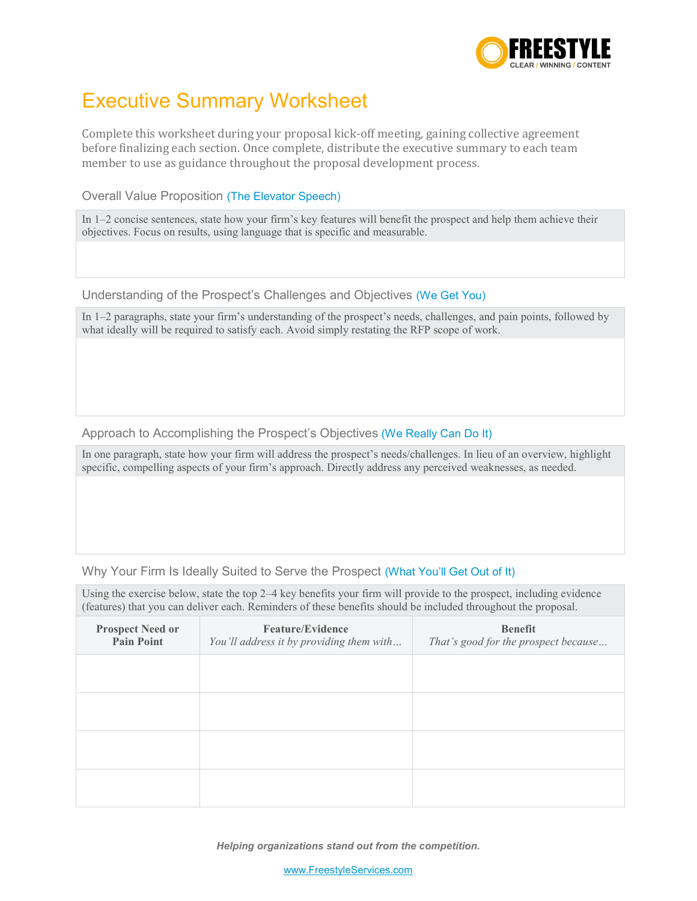

## Executive Summary Worksheet

Complete this worksheet during your proposal kick-off meeting, gaining collective agreement before finalizing each section. Once complete, distribute the executive summary to each team member to use as guidance throughout the proposal development process.

Overall Value Proposition (The Elevator Speech)

In 1–2 concise sentences, state how your firm's key features will benefit the prospect and help them achieve their objectives. Focus on results, using language that is specific and measurable.

Understanding of the Prospect's Challenges and Objectives (We Get You)

In 1–2 paragraphs, state your firm's understanding of the prospect's needs, challenges, and pain points, followed by what ideally will be required to satisfy each. Avoid simply restating the RFP scope of work.

Approach to Accomplishing the Prospect's Objectives (We Really Can Do It)

In one paragraph, state how your firm will address the prospect's needs/challenges. In lieu of an overview, highlight specific, compelling aspects of your firm's approach. Directly address any perceived weaknesses, as needed.

## Why Your Firm Is Ideally Suited to Serve the Prospect (What You'll Get Out of It)

Using the exercise below, state the top 2–4 key benefits your firm will provide to the prospect, including evidence (features) that you can deliver each. Reminders of these benefits should be included throughout the proposal.

| <b>Prospect Need or</b><br><b>Pain Point</b> | <b>Feature/Evidence</b><br>You'll address it by providing them with | <b>Benefit</b><br>That's good for the prospect because |
|----------------------------------------------|---------------------------------------------------------------------|--------------------------------------------------------|
|                                              |                                                                     |                                                        |
|                                              |                                                                     |                                                        |
|                                              |                                                                     |                                                        |
|                                              |                                                                     |                                                        |

*Helping organizations stand out from the competition.*